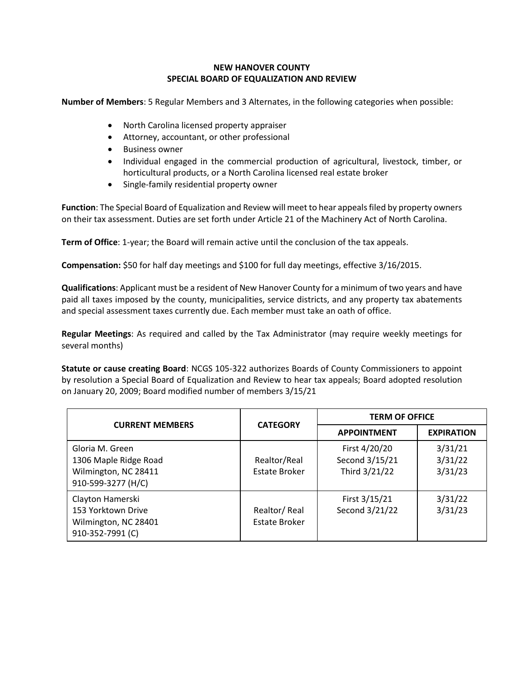## **NEW HANOVER COUNTY SPECIAL BOARD OF EQUALIZATION AND REVIEW**

**Number of Members**: 5 Regular Members and 3 Alternates, in the following categories when possible:

- North Carolina licensed property appraiser
- Attorney, accountant, or other professional
- Business owner
- Individual engaged in the commercial production of agricultural, livestock, timber, or horticultural products, or a North Carolina licensed real estate broker
- Single-family residential property owner

**Function**: The Special Board of Equalization and Review will meet to hear appeals filed by property owners on their tax assessment. Duties are set forth under Article 21 of the Machinery Act of North Carolina.

**Term of Office**: 1-year; the Board will remain active until the conclusion of the tax appeals.

**Compensation:** \$50 for half day meetings and \$100 for full day meetings, effective 3/16/2015.

**Qualifications**: Applicant must be a resident of New Hanover County for a minimum of two years and have paid all taxes imposed by the county, municipalities, service districts, and any property tax abatements and special assessment taxes currently due. Each member must take an oath of office.

**Regular Meetings**: As required and called by the Tax Administrator (may require weekly meetings for several months)

**Statute or cause creating Board**: NCGS 105-322 authorizes Boards of County Commissioners to appoint by resolution a Special Board of Equalization and Review to hear tax appeals; Board adopted resolution on January 20, 2009; Board modified number of members 3/15/21

| <b>CURRENT MEMBERS</b>                                                                 | <b>CATEGORY</b>               | <b>TERM OF OFFICE</b>                            |                               |
|----------------------------------------------------------------------------------------|-------------------------------|--------------------------------------------------|-------------------------------|
|                                                                                        |                               | <b>APPOINTMENT</b>                               | <b>EXPIRATION</b>             |
| Gloria M. Green<br>1306 Maple Ridge Road<br>Wilmington, NC 28411<br>910-599-3277 (H/C) | Realtor/Real<br>Estate Broker | First 4/20/20<br>Second 3/15/21<br>Third 3/21/22 | 3/31/21<br>3/31/22<br>3/31/23 |
| Clayton Hamerski<br>153 Yorktown Drive<br>Wilmington, NC 28401<br>910-352-7991 (C)     | Realtor/Real<br>Estate Broker | First 3/15/21<br>Second 3/21/22                  | 3/31/22<br>3/31/23            |